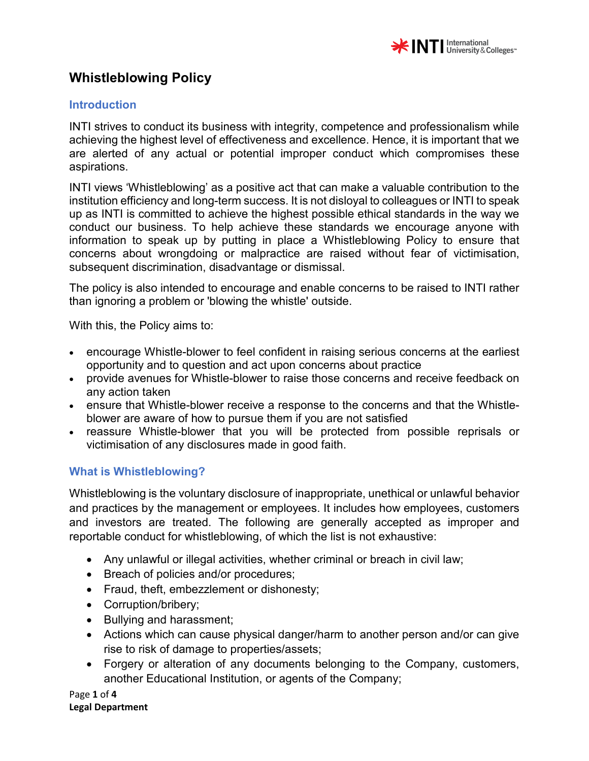

#### **Introduction**

INTI strives to conduct its business with integrity, competence and professionalism while achieving the highest level of effectiveness and excellence. Hence, it is important that we are alerted of any actual or potential improper conduct which compromises these aspirations.

INTI views 'Whistleblowing' as a positive act that can make a valuable contribution to the institution efficiency and long-term success. It is not disloyal to colleagues or INTI to speak up as INTI is committed to achieve the highest possible ethical standards in the way we conduct our business. To help achieve these standards we encourage anyone with information to speak up by putting in place a Whistleblowing Policy to ensure that concerns about wrongdoing or malpractice are raised without fear of victimisation, subsequent discrimination, disadvantage or dismissal.

The policy is also intended to encourage and enable concerns to be raised to INTI rather than ignoring a problem or 'blowing the whistle' outside.

With this, the Policy aims to:

- encourage Whistle-blower to feel confident in raising serious concerns at the earliest opportunity and to question and act upon concerns about practice
- provide avenues for Whistle-blower to raise those concerns and receive feedback on any action taken
- ensure that Whistle-blower receive a response to the concerns and that the Whistleblower are aware of how to pursue them if you are not satisfied
- reassure Whistle-blower that you will be protected from possible reprisals or victimisation of any disclosures made in good faith.

### **What is Whistleblowing?**

Whistleblowing is the voluntary disclosure of inappropriate, unethical or unlawful behavior and practices by the management or employees. It includes how employees, customers and investors are treated. The following are generally accepted as improper and reportable conduct for whistleblowing, of which the list is not exhaustive:

- Any unlawful or illegal activities, whether criminal or breach in civil law;
- Breach of policies and/or procedures;
- Fraud, theft, embezzlement or dishonesty;
- Corruption/bribery;
- Bullying and harassment;
- Actions which can cause physical danger/harm to another person and/or can give rise to risk of damage to properties/assets;
- Forgery or alteration of any documents belonging to the Company, customers, another Educational Institution, or agents of the Company;

Page **1** of **4 Legal Department**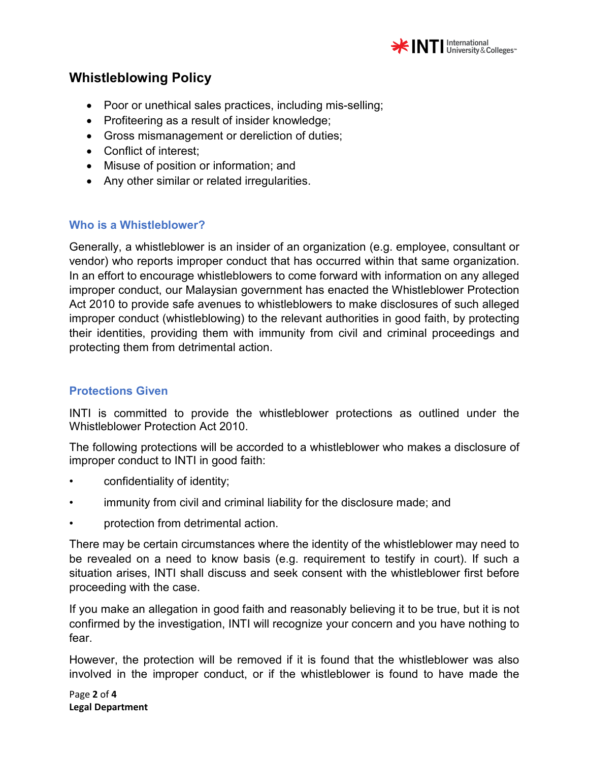

- Poor or unethical sales practices, including mis-selling;
- Profiteering as a result of insider knowledge;
- Gross mismanagement or dereliction of duties;
- Conflict of interest;
- Misuse of position or information; and
- Any other similar or related irregularities.

### **Who is a Whistleblower?**

Generally, a whistleblower is an insider of an organization (e.g. employee, consultant or vendor) who reports improper conduct that has occurred within that same organization. In an effort to encourage whistleblowers to come forward with information on any alleged improper conduct, our Malaysian government has enacted the Whistleblower Protection Act 2010 to provide safe avenues to whistleblowers to make disclosures of such alleged improper conduct (whistleblowing) to the relevant authorities in good faith, by protecting their identities, providing them with immunity from civil and criminal proceedings and protecting them from detrimental action.

### **Protections Given**

INTI is committed to provide the whistleblower protections as outlined under the Whistleblower Protection Act 2010.

The following protections will be accorded to a whistleblower who makes a disclosure of improper conduct to INTI in good faith:

- confidentiality of identity;
- immunity from civil and criminal liability for the disclosure made; and
- protection from detrimental action.

There may be certain circumstances where the identity of the whistleblower may need to be revealed on a need to know basis (e.g. requirement to testify in court). If such a situation arises, INTI shall discuss and seek consent with the whistleblower first before proceeding with the case.

If you make an allegation in good faith and reasonably believing it to be true, but it is not confirmed by the investigation, INTI will recognize your concern and you have nothing to fear.

However, the protection will be removed if it is found that the whistleblower was also involved in the improper conduct, or if the whistleblower is found to have made the

Page **2** of **4 Legal Department**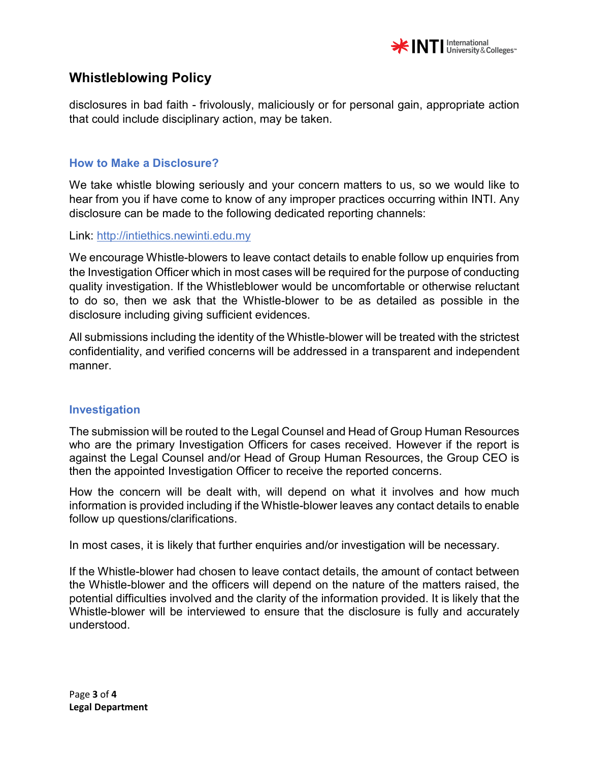

disclosures in bad faith - frivolously, maliciously or for personal gain, appropriate action that could include disciplinary action, may be taken.

#### **How to Make a Disclosure?**

We take whistle blowing seriously and your concern matters to us, so we would like to hear from you if have come to know of any improper practices occurring within INTI. Any disclosure can be made to the following dedicated reporting channels:

Link: http://intiethics.newinti.edu.my

We encourage Whistle-blowers to leave contact details to enable follow up enquiries from the Investigation Officer which in most cases will be required for the purpose of conducting quality investigation. If the Whistleblower would be uncomfortable or otherwise reluctant to do so, then we ask that the Whistle-blower to be as detailed as possible in the disclosure including giving sufficient evidences.

All submissions including the identity of the Whistle-blower will be treated with the strictest confidentiality, and verified concerns will be addressed in a transparent and independent manner.

### **Investigation**

The submission will be routed to the Legal Counsel and Head of Group Human Resources who are the primary Investigation Officers for cases received. However if the report is against the Legal Counsel and/or Head of Group Human Resources, the Group CEO is then the appointed Investigation Officer to receive the reported concerns.

How the concern will be dealt with, will depend on what it involves and how much information is provided including if the Whistle-blower leaves any contact details to enable follow up questions/clarifications.

In most cases, it is likely that further enquiries and/or investigation will be necessary.

If the Whistle-blower had chosen to leave contact details, the amount of contact between the Whistle-blower and the officers will depend on the nature of the matters raised, the potential difficulties involved and the clarity of the information provided. It is likely that the Whistle-blower will be interviewed to ensure that the disclosure is fully and accurately understood.